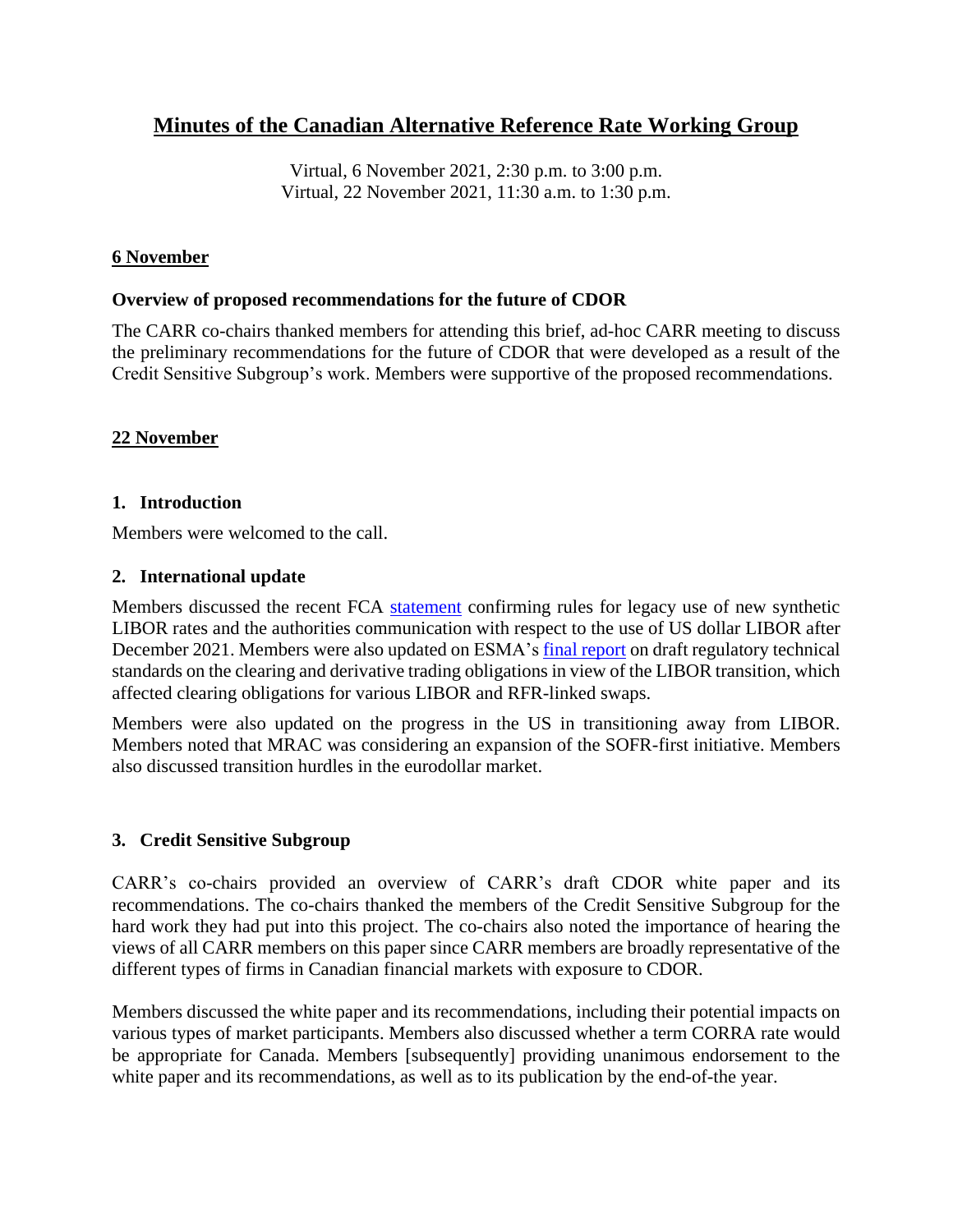# **Minutes of the Canadian Alternative Reference Rate Working Group**

Virtual, 6 November 2021, 2:30 p.m. to 3:00 p.m. Virtual, 22 November 2021, 11:30 a.m. to 1:30 p.m.

# **6 November**

# **Overview of proposed recommendations for the future of CDOR**

The CARR co-chairs thanked members for attending this brief, ad-hoc CARR meeting to discuss the preliminary recommendations for the future of CDOR that were developed as a result of the Credit Sensitive Subgroup's work. Members were supportive of the proposed recommendations.

# **22 November**

# **1. Introduction**

Members were welcomed to the call.

#### **2. International update**

Members discussed the recent FCA [statement](https://www.fca.org.uk/news/press-releases/fca-confirms-rules-legacy-use-synthetic-libor-no-new-use-us-dollar-libor) confirming rules for legacy use of new synthetic LIBOR rates and the authorities communication with respect to the use of US dollar LIBOR after December 2021. Members were also updated on ESMA's [final report](https://www.esma.europa.eu/sites/default/files/library/esma70-156-4953_final_report_on_the_co_and_dto_re_benchmark_transition.pdf) on draft regulatory technical standards on the clearing and derivative trading obligations in view of the LIBOR transition, which affected clearing obligations for various LIBOR and RFR-linked swaps.

Members were also updated on the progress in the US in transitioning away from LIBOR. Members noted that MRAC was considering an expansion of the SOFR-first initiative. Members also discussed transition hurdles in the eurodollar market.

# **3. Credit Sensitive Subgroup**

CARR's co-chairs provided an overview of CARR's draft CDOR white paper and its recommendations. The co-chairs thanked the members of the Credit Sensitive Subgroup for the hard work they had put into this project. The co-chairs also noted the importance of hearing the views of all CARR members on this paper since CARR members are broadly representative of the different types of firms in Canadian financial markets with exposure to CDOR.

Members discussed the white paper and its recommendations, including their potential impacts on various types of market participants. Members also discussed whether a term CORRA rate would be appropriate for Canada. Members [subsequently] providing unanimous endorsement to the white paper and its recommendations, as well as to its publication by the end-of-the year.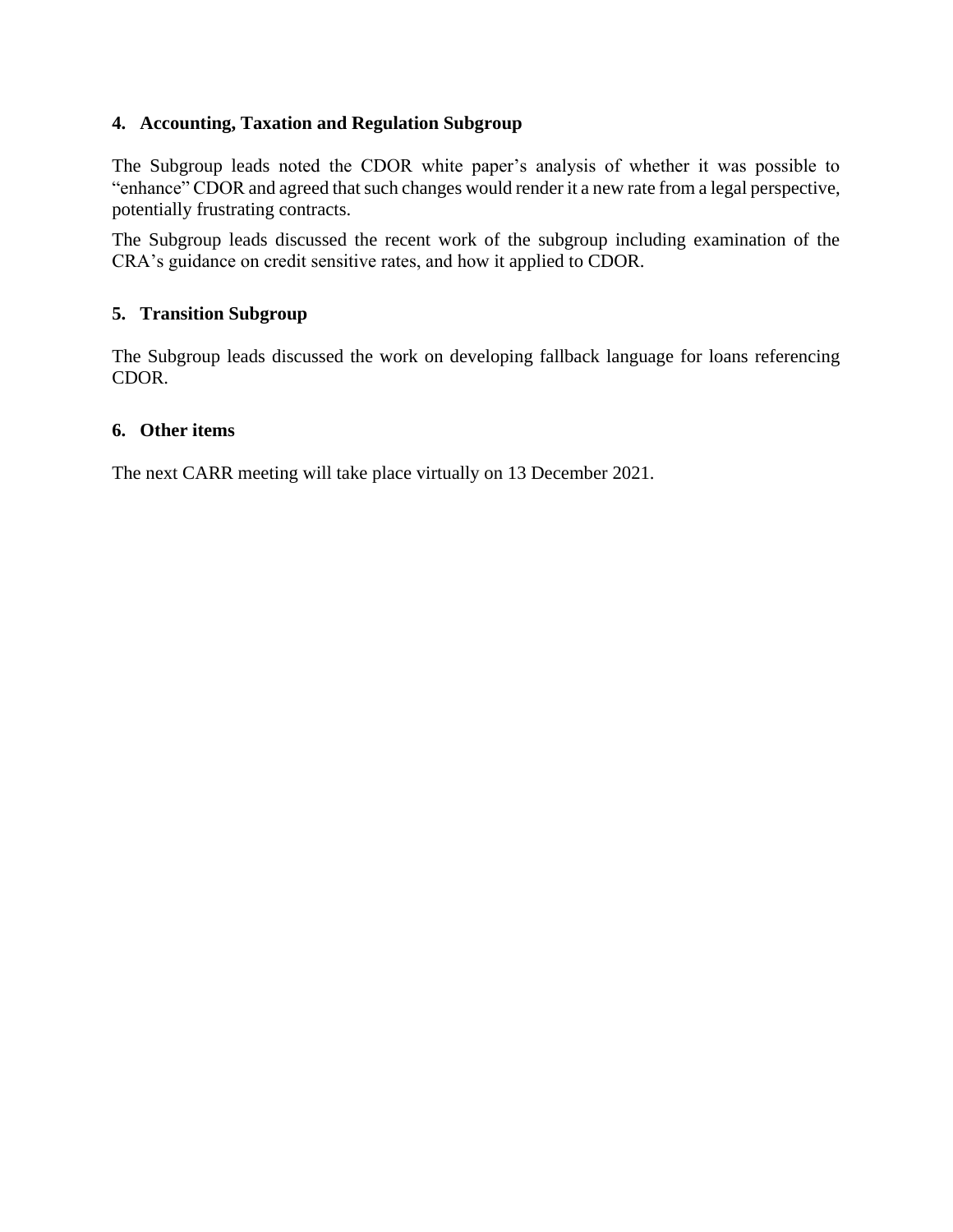# **4. Accounting, Taxation and Regulation Subgroup**

The Subgroup leads noted the CDOR white paper's analysis of whether it was possible to "enhance" CDOR and agreed that such changes would render it a new rate from a legal perspective, potentially frustrating contracts.

The Subgroup leads discussed the recent work of the subgroup including examination of the CRA's guidance on credit sensitive rates, and how it applied to CDOR.

# **5. Transition Subgroup**

The Subgroup leads discussed the work on developing fallback language for loans referencing CDOR.

# **6. Other items**

The next CARR meeting will take place virtually on 13 December 2021.